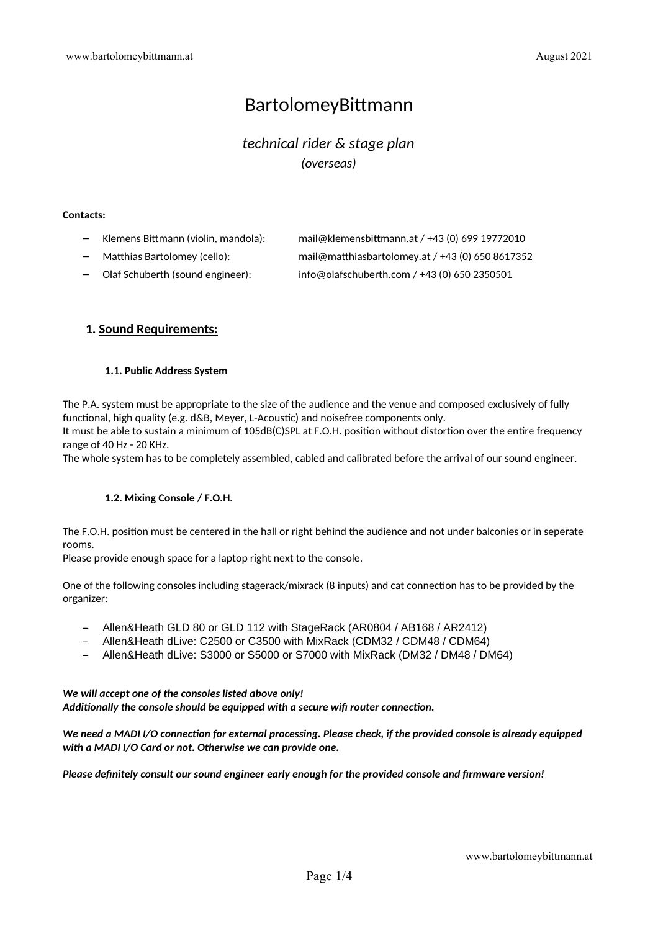# BartolomeyBitmann

# *technical rider & stage plan (overseas)*

#### **Contacts:**

| Klemens Bittmann (violin, mandola): | mail@klemensbittmann.at / +43 (0) 699 19772010   |
|-------------------------------------|--------------------------------------------------|
| Matthias Bartolomey (cello):        | mail@matthiasbartolomey.at / +43 (0) 650 8617352 |

- 
- Olaf Schuberth (sound engineer): info@olafschuberth.com / +43 (0) 650 2350501

# **1. Sound Requirements:**

#### **1.1. Public Address System**

The P.A. system must be appropriate to the size of the audience and the venue and composed exclusively of fully functional, high quality (e.g. d&B, Meyer, L-Acoustic) and noisefree components only.

It must be able to sustain a minimum of 105dB(C)SPL at F.O.H. position without distortion over the entire frequency range of 40 Hz - 20 KHz.

The whole system has to be completely assembled, cabled and calibrated before the arrival of our sound engineer.

## **1.2. Mixing Console / F.O.H.**

The F.O.H. positon must be centered in the hall or right behind the audience and not under balconies or in seperate rooms.

Please provide enough space for a laptop right next to the console.

One of the following consoles including stagerack/mixrack (8 inputs) and cat connection has to be provided by the organizer:

- Allen&Heath GLD 80 or GLD 112 with StageRack (AR0804 / AB168 / AR2412)
- Allen&Heath dLive: C2500 or C3500 with MixRack (CDM32 / CDM48 / CDM64)
- Allen&Heath dLive: S3000 or S5000 or S7000 with MixRack (DM32 / DM48 / DM64)

#### *We will accept one of the consoles listed above only!* Additionally the console should be equipped with a secure wifi router connection.

*We need a MADI I/O connection for external processing. Please check, if the provided console is already equipped with a MADI I/O Card or not. Otherwise we can provide one.*

*Please defnitely consult our sound engineer early enough for the provided console and frmware version!*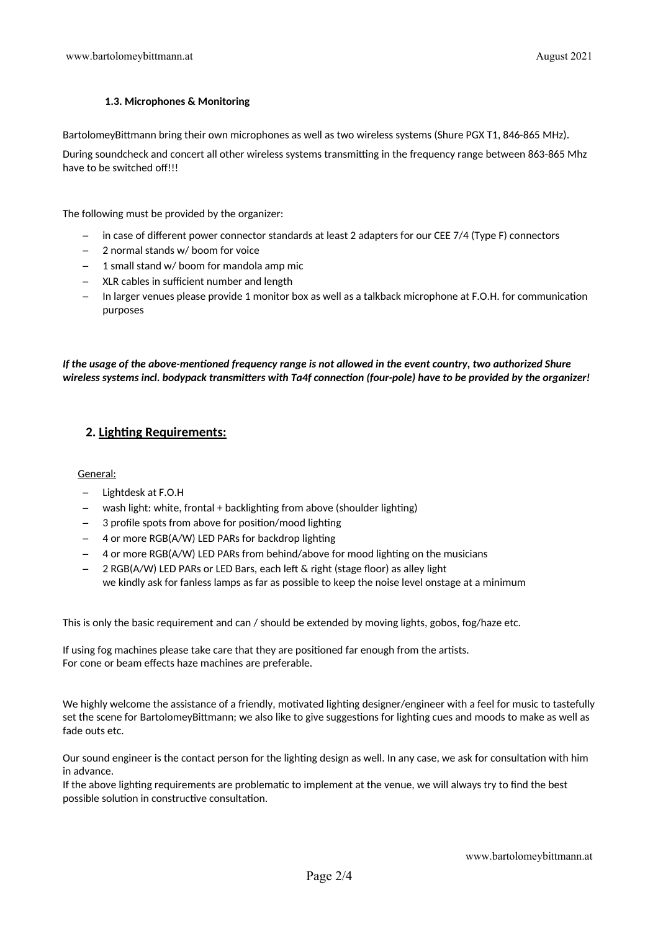### **1.3. Microphones & Monitoring**

BartolomeyBittmann bring their own microphones as well as two wireless systems (Shure PGX T1, 846-865 MHz).

During soundcheck and concert all other wireless systems transmitting in the frequency range between 863-865 Mhz have to be switched off!!!

The following must be provided by the organizer:

- in case of diferent power connector standards at least 2 adapters for our CEE 7/4 (Type F) connectors
- 2 normal stands w/ boom for voice
- 1 small stand w/ boom for mandola amp mic
- $-$  XLR cables in sufficient number and length
- In larger venues please provide 1 monitor box as well as a talkback microphone at F.O.H. for communicaton purposes

*If the usage of the above-mentoned frequency range is not allowed in the event country, two authorized Shure wireless systems incl. bodypack transmiters with Ta4f connecton (four-pole) have to be provided by the organizer!*

# **2. Lighting Requirements:**

General:

- Lightdesk at F.O.H
- wash light: white, frontal + backlighting from above (shoulder lighting)
- $-$  3 profile spots from above for position/mood lighting
- 4 or more RGB(A/W) LED PARs for backdrop lighting
- $-$  4 or more RGB(A/W) LED PARs from behind/above for mood lighting on the musicians
- 2 RGB(A/W) LED PARs or LED Bars, each left & right (stage floor) as alley light we kindly ask for fanless lamps as far as possible to keep the noise level onstage at a minimum

This is only the basic requirement and can / should be extended by moving lights, gobos, fog/haze etc.

If using fog machines please take care that they are positoned far enough from the artsts. For cone or beam effects haze machines are preferable.

We highly welcome the assistance of a friendly, motivated lighting designer/engineer with a feel for music to tastefully set the scene for BartolomeyBittmann; we also like to give suggestions for lighting cues and moods to make as well as fade outs etc.

Our sound engineer is the contact person for the lightng design as well. In any case, we ask for consultaton with him in advance.

If the above lighting requirements are problematic to implement at the venue, we will always try to find the best possible solution in constructive consultation.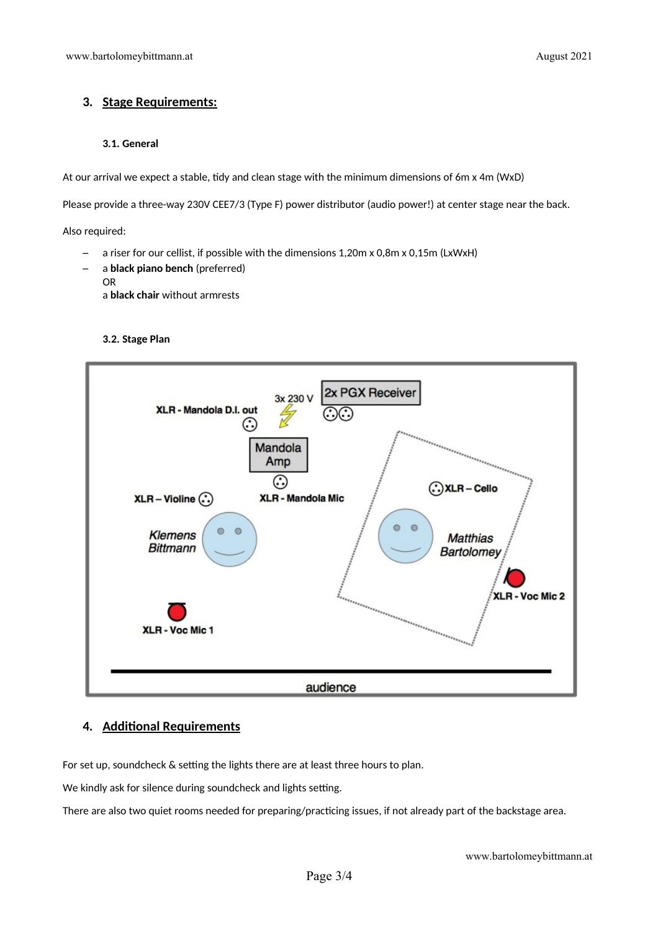# **3. Stage Requirements:**

#### **3.1. General**

At our arrival we expect a stable, tidy and clean stage with the minimum dimensions of 6m x 4m (WxD)

Please provide a three-way 230V CEE7/3 (Type F) power distributor (audio power!) at center stage near the back.

Also required:

- a riser for our cellist, if possible with the dimensions 1,20m x 0,8m x 0,15m (LxWxH)
- a **black piano bench** (preferred) OR a **black chair** without armrests

### **3.2. Stage Plan**



# **4. Additonal Requirements**

For set up, soundcheck & setting the lights there are at least three hours to plan.

We kindly ask for silence during soundcheck and lights setting.

There are also two quiet rooms needed for preparing/practicing issues, if not already part of the backstage area.